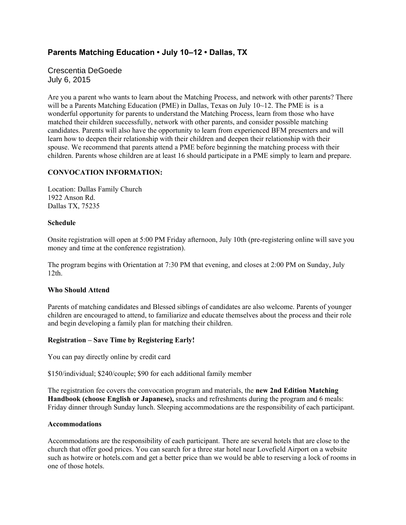# **Parents Matching Education • July 10–12 • Dallas, TX**

Crescentia DeGoede July 6, 2015

Are you a parent who wants to learn about the Matching Process, and network with other parents? There will be a Parents Matching Education (PME) in Dallas, Texas on July 10~12. The PME is is a wonderful opportunity for parents to understand the Matching Process, learn from those who have matched their children successfully, network with other parents, and consider possible matching candidates. Parents will also have the opportunity to learn from experienced BFM presenters and will learn how to deepen their relationship with their children and deepen their relationship with their spouse. We recommend that parents attend a PME before beginning the matching process with their children. Parents whose children are at least 16 should participate in a PME simply to learn and prepare.

## **CONVOCATION INFORMATION:**

Location: Dallas Family Church 1922 Anson Rd. Dallas TX, 75235

#### **Schedule**

Onsite registration will open at 5:00 PM Friday afternoon, July 10th (pre-registering online will save you money and time at the conference registration).

The program begins with Orientation at 7:30 PM that evening, and closes at 2:00 PM on Sunday, July 12th.

# **Who Should Attend**

Parents of matching candidates and Blessed siblings of candidates are also welcome. Parents of younger children are encouraged to attend, to familiarize and educate themselves about the process and their role and begin developing a family plan for matching their children.

#### **Registration – Save Time by Registering Early!**

You can pay directly online by credit card

\$150/individual; \$240/couple; \$90 for each additional family member

The registration fee covers the convocation program and materials, the **new 2nd Edition Matching Handbook (choose English or Japanese),** snacks and refreshments during the program and 6 meals: Friday dinner through Sunday lunch. Sleeping accommodations are the responsibility of each participant.

#### **Accommodations**

Accommodations are the responsibility of each participant. There are several hotels that are close to the church that offer good prices. You can search for a three star hotel near Lovefield Airport on a website such as hotwire or hotels.com and get a better price than we would be able to reserving a lock of rooms in one of those hotels.